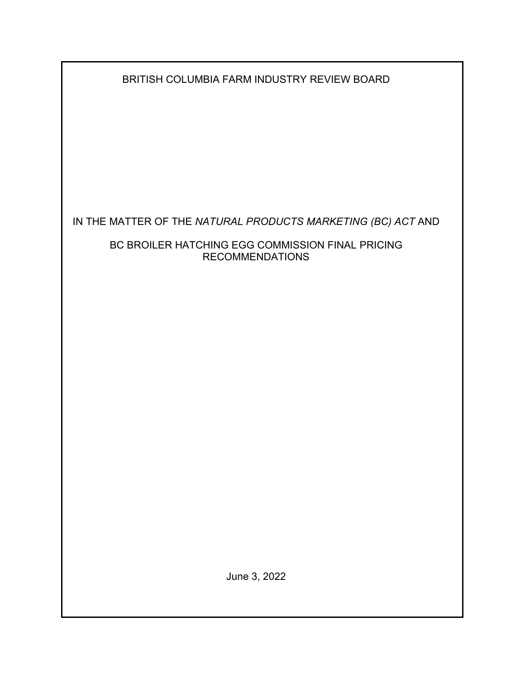| BRITISH COLUMBIA FARM INDUSTRY REVIEW BOARD |  |  |
|---------------------------------------------|--|--|
|                                             |  |  |

IN THE MATTER OF THE *NATURAL PRODUCTS MARKETING (BC) ACT* AND

BC BROILER HATCHING EGG COMMISSION FINAL PRICING RECOMMENDATIONS

June 3, 2022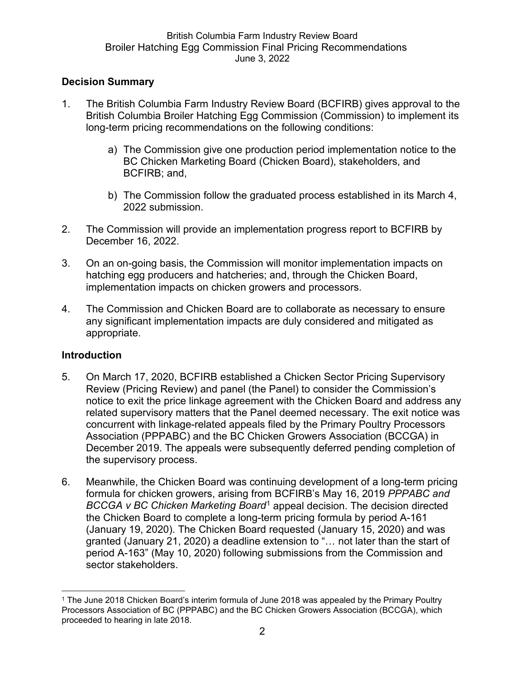## **Decision Summary**

- 1. The British Columbia Farm Industry Review Board (BCFIRB) gives approval to the British Columbia Broiler Hatching Egg Commission (Commission) to implement its long-term pricing recommendations on the following conditions:
	- a) The Commission give one production period implementation notice to the BC Chicken Marketing Board (Chicken Board), stakeholders, and BCFIRB; and,
	- b) The Commission follow the graduated process established in its March 4, 2022 submission.
- 2. The Commission will provide an implementation progress report to BCFIRB by December 16, 2022.
- 3. On an on-going basis, the Commission will monitor implementation impacts on hatching egg producers and hatcheries; and, through the Chicken Board, implementation impacts on chicken growers and processors.
- 4. The Commission and Chicken Board are to collaborate as necessary to ensure any significant implementation impacts are duly considered and mitigated as appropriate.

### **Introduction**

- 5. On March 17, 2020, BCFIRB established a Chicken Sector Pricing Supervisory Review (Pricing Review) and panel (the Panel) to consider the Commission's notice to exit the price linkage agreement with the Chicken Board and address any related supervisory matters that the Panel deemed necessary. The exit notice was concurrent with linkage-related appeals filed by the Primary Poultry Processors Association (PPPABC) and the BC Chicken Growers Association (BCCGA) in December 2019. The appeals were subsequently deferred pending completion of the supervisory process.
- 6. Meanwhile, the Chicken Board was continuing development of a long-term pricing formula for chicken growers, arising from BCFIRB's May 16, 2019 *PPPABC and BCCGA v BC Chicken Marketing Board*[1](#page-1-0) appeal decision. The decision directed the Chicken Board to complete a long-term pricing formula by period A-161 (January 19, 2020). The Chicken Board requested (January 15, 2020) and was granted (January 21, 2020) a deadline extension to "… not later than the start of period A-163" (May 10, 2020) following submissions from the Commission and sector stakeholders.

<span id="page-1-0"></span><sup>1</sup> The June 2018 Chicken Board's interim formula of June 2018 was appealed by the Primary Poultry Processors Association of BC (PPPABC) and the BC Chicken Growers Association (BCCGA), which proceeded to hearing in late 2018.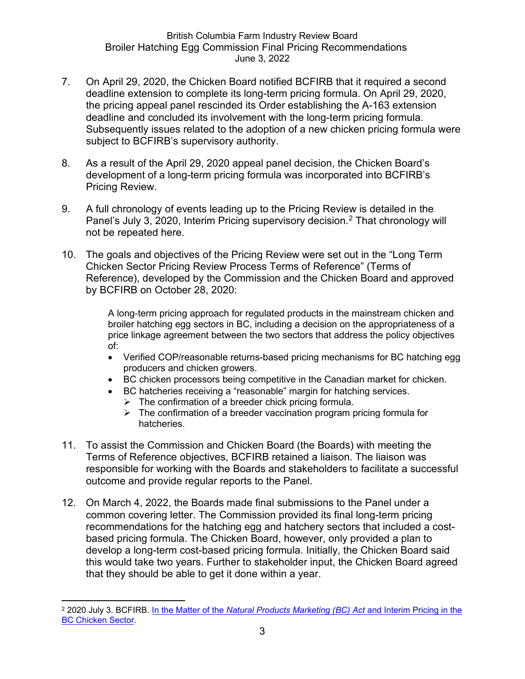- 7. On April 29, 2020, the Chicken Board notified BCFIRB that it required a second deadline extension to complete its long-term pricing formula. On April 29, 2020, the pricing appeal panel rescinded its Order establishing the A-163 extension deadline and concluded its involvement with the long-term pricing formula. Subsequently issues related to the adoption of a new chicken pricing formula were subject to BCFIRB's supervisory authority.
- 8. As a result of the April 29, 2020 appeal panel decision, the Chicken Board's development of a long-term pricing formula was incorporated into BCFIRB's Pricing Review.
- 9. A full chronology of events leading up to the Pricing Review is detailed in the Panel's July 3, [2](#page-2-0)020, Interim Pricing supervisory decision.<sup>2</sup> That chronology will not be repeated here.
- 10. The goals and objectives of the Pricing Review were set out in the "Long Term Chicken Sector Pricing Review Process Terms of Reference" (Terms of Reference), developed by the Commission and the Chicken Board and approved by BCFIRB on October 28, 2020:

A long-term pricing approach for regulated products in the mainstream chicken and broiler hatching egg sectors in BC, including a decision on the appropriateness of a price linkage agreement between the two sectors that address the policy objectives of:

- Verified COP/reasonable returns-based pricing mechanisms for BC hatching egg producers and chicken growers.
- BC chicken processors being competitive in the Canadian market for chicken.
- BC hatcheries receiving a "reasonable" margin for hatching services.
	- $\triangleright$  The confirmation of a breeder chick pricing formula.
	- $\triangleright$  The confirmation of a breeder vaccination program pricing formula for hatcheries.
- 11. To assist the Commission and Chicken Board (the Boards) with meeting the Terms of Reference objectives, BCFIRB retained a liaison. The liaison was responsible for working with the Boards and stakeholders to facilitate a successful outcome and provide regular reports to the Panel.
- 12. On March 4, 2022, the Boards made final submissions to the Panel under a common covering letter. The Commission provided its final long-term pricing recommendations for the hatching egg and hatchery sectors that included a costbased pricing formula. The Chicken Board, however, only provided a plan to develop a long-term cost-based pricing formula. Initially, the Chicken Board said this would take two years. Further to stakeholder input, the Chicken Board agreed that they should be able to get it done within a year.

<span id="page-2-0"></span><sup>2</sup> 2020 July 3. BCFIRB. In the Matter of the *[Natural Products Marketing \(BC\) Act](https://www2.gov.bc.ca/assets/gov/british-columbians-our-governments/organizational-structure/boards-commissions-tribunals/bc-farm-industry-review-board/regulated-marketing/supervisory-reviews/2020-chicken-pricing/2020_jul_3_interim_pricing_decision.pdf)* and Interim Pricing in the [BC Chicken Sector.](https://www2.gov.bc.ca/assets/gov/british-columbians-our-governments/organizational-structure/boards-commissions-tribunals/bc-farm-industry-review-board/regulated-marketing/supervisory-reviews/2020-chicken-pricing/2020_jul_3_interim_pricing_decision.pdf)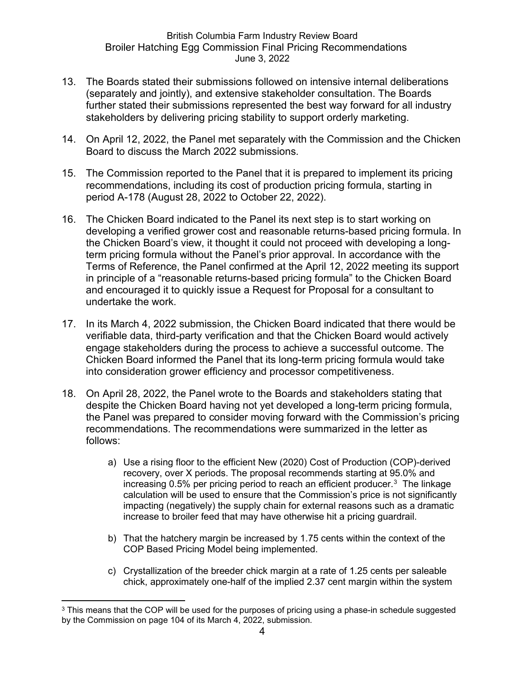- 13. The Boards stated their submissions followed on intensive internal deliberations (separately and jointly), and extensive stakeholder consultation. The Boards further stated their submissions represented the best way forward for all industry stakeholders by delivering pricing stability to support orderly marketing.
- 14. On April 12, 2022, the Panel met separately with the Commission and the Chicken Board to discuss the March 2022 submissions.
- 15. The Commission reported to the Panel that it is prepared to implement its pricing recommendations, including its cost of production pricing formula, starting in period A-178 (August 28, 2022 to October 22, 2022).
- 16. The Chicken Board indicated to the Panel its next step is to start working on developing a verified grower cost and reasonable returns-based pricing formula. In the Chicken Board's view, it thought it could not proceed with developing a longterm pricing formula without the Panel's prior approval. In accordance with the Terms of Reference, the Panel confirmed at the April 12, 2022 meeting its support in principle of a "reasonable returns-based pricing formula" to the Chicken Board and encouraged it to quickly issue a Request for Proposal for a consultant to undertake the work.
- 17. In its March 4, 2022 submission, the Chicken Board indicated that there would be verifiable data, third-party verification and that the Chicken Board would actively engage stakeholders during the process to achieve a successful outcome. The Chicken Board informed the Panel that its long-term pricing formula would take into consideration grower efficiency and processor competitiveness.
- 18. On April 28, 2022, the Panel wrote to the Boards and stakeholders stating that despite the Chicken Board having not yet developed a long-term pricing formula, the Panel was prepared to consider moving forward with the Commission's pricing recommendations. The recommendations were summarized in the letter as follows:
	- a) Use a rising floor to the efficient New (2020) Cost of Production (COP)-derived recovery, over X periods. The proposal recommends starting at 95.0% and increasing 0.5% per pricing period to reach an efficient producer.[3](#page-3-0) The linkage calculation will be used to ensure that the Commission's price is not significantly impacting (negatively) the supply chain for external reasons such as a dramatic increase to broiler feed that may have otherwise hit a pricing guardrail.
	- b) That the hatchery margin be increased by 1.75 cents within the context of the COP Based Pricing Model being implemented.
	- c) Crystallization of the breeder chick margin at a rate of 1.25 cents per saleable chick, approximately one-half of the implied 2.37 cent margin within the system

<span id="page-3-0"></span><sup>&</sup>lt;sup>3</sup> This means that the COP will be used for the purposes of pricing using a phase-in schedule suggested by the Commission on page 104 of its March 4, 2022, submission.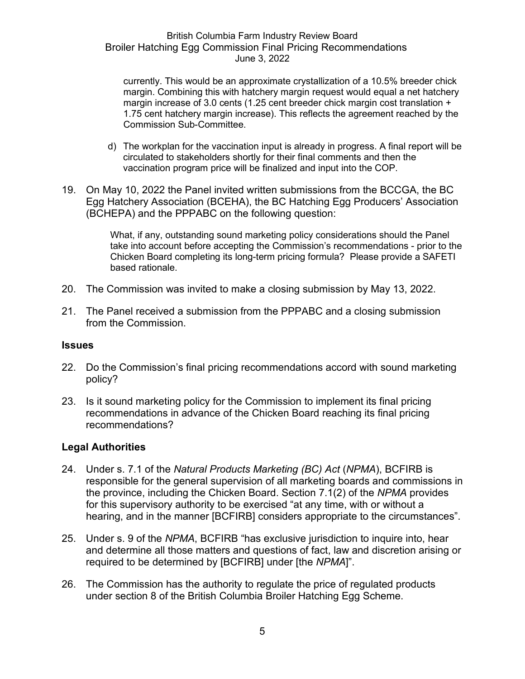currently. This would be an approximate crystallization of a 10.5% breeder chick margin. Combining this with hatchery margin request would equal a net hatchery margin increase of 3.0 cents (1.25 cent breeder chick margin cost translation + 1.75 cent hatchery margin increase). This reflects the agreement reached by the Commission Sub-Committee.

- d) The workplan for the vaccination input is already in progress. A final report will be circulated to stakeholders shortly for their final comments and then the vaccination program price will be finalized and input into the COP.
- 19. On May 10, 2022 the Panel invited written submissions from the BCCGA, the BC Egg Hatchery Association (BCEHA), the BC Hatching Egg Producers' Association (BCHEPA) and the PPPABC on the following question:

What, if any, outstanding sound marketing policy considerations should the Panel take into account before accepting the Commission's recommendations - prior to the Chicken Board completing its long-term pricing formula? Please provide a SAFETI based rationale.

- 20. The Commission was invited to make a closing submission by May 13, 2022.
- 21. The Panel received a submission from the PPPABC and a closing submission from the Commission.

#### **Issues**

- 22. Do the Commission's final pricing recommendations accord with sound marketing policy?
- 23. Is it sound marketing policy for the Commission to implement its final pricing recommendations in advance of the Chicken Board reaching its final pricing recommendations?

#### **Legal Authorities**

- 24. Under s. 7.1 of the *Natural Products Marketing (BC) Act* (*NPMA*), BCFIRB is responsible for the general supervision of all marketing boards and commissions in the province, including the Chicken Board. Section 7.1(2) of the *NPMA* provides for this supervisory authority to be exercised "at any time, with or without a hearing, and in the manner [BCFIRB] considers appropriate to the circumstances".
- 25. Under s. 9 of the *NPMA*, BCFIRB "has exclusive jurisdiction to inquire into, hear and determine all those matters and questions of fact, law and discretion arising or required to be determined by [BCFIRB] under [the *NPMA*]".
- 26. The Commission has the authority to regulate the price of regulated products under section 8 of the British Columbia Broiler Hatching Egg Scheme.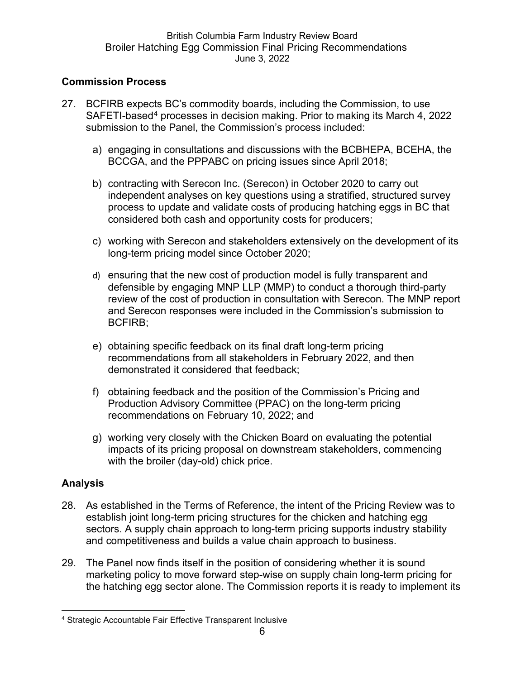# **Commission Process**

- 27. BCFIRB expects BC's commodity boards, including the Commission, to use SAFETI-based[4](#page-5-0) processes in decision making. Prior to making its March 4, 2022 submission to the Panel, the Commission's process included:
	- a) engaging in consultations and discussions with the BCBHEPA, BCEHA, the BCCGA, and the PPPABC on pricing issues since April 2018;
	- b) contracting with Serecon Inc. (Serecon) in October 2020 to carry out independent analyses on key questions using a stratified, structured survey process to update and validate costs of producing hatching eggs in BC that considered both cash and opportunity costs for producers;
	- c) working with Serecon and stakeholders extensively on the development of its long-term pricing model since October 2020;
	- d) ensuring that the new cost of production model is fully transparent and defensible by engaging MNP LLP (MMP) to conduct a thorough third-party review of the cost of production in consultation with Serecon. The MNP report and Serecon responses were included in the Commission's submission to BCFIRB;
	- e) obtaining specific feedback on its final draft long-term pricing recommendations from all stakeholders in February 2022, and then demonstrated it considered that feedback;
	- f) obtaining feedback and the position of the Commission's Pricing and Production Advisory Committee (PPAC) on the long-term pricing recommendations on February 10, 2022; and
	- g) working very closely with the Chicken Board on evaluating the potential impacts of its pricing proposal on downstream stakeholders, commencing with the broiler (day-old) chick price.

# **Analysis**

- 28. As established in the Terms of Reference, the intent of the Pricing Review was to establish joint long-term pricing structures for the chicken and hatching egg sectors. A supply chain approach to long-term pricing supports industry stability and competitiveness and builds a value chain approach to business.
- 29. The Panel now finds itself in the position of considering whether it is sound marketing policy to move forward step-wise on supply chain long-term pricing for the hatching egg sector alone. The Commission reports it is ready to implement its

<span id="page-5-0"></span><sup>4</sup> Strategic Accountable Fair Effective Transparent Inclusive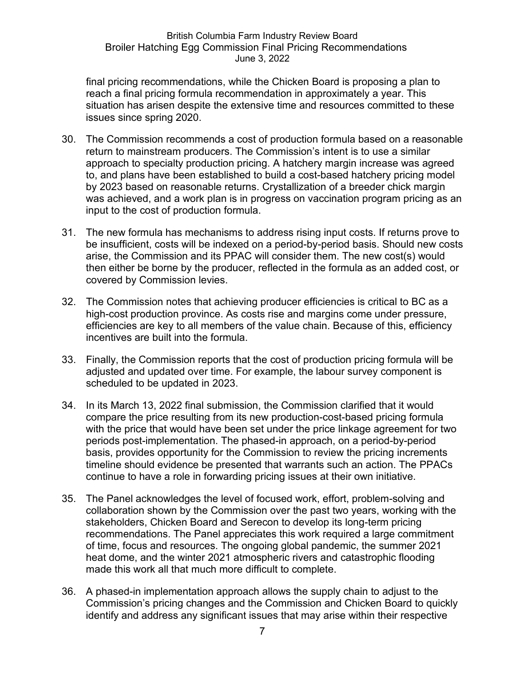final pricing recommendations, while the Chicken Board is proposing a plan to reach a final pricing formula recommendation in approximately a year. This situation has arisen despite the extensive time and resources committed to these issues since spring 2020.

- 30. The Commission recommends a cost of production formula based on a reasonable return to mainstream producers. The Commission's intent is to use a similar approach to specialty production pricing. A hatchery margin increase was agreed to, and plans have been established to build a cost-based hatchery pricing model by 2023 based on reasonable returns. Crystallization of a breeder chick margin was achieved, and a work plan is in progress on vaccination program pricing as an input to the cost of production formula.
- 31. The new formula has mechanisms to address rising input costs. If returns prove to be insufficient, costs will be indexed on a period-by-period basis. Should new costs arise, the Commission and its PPAC will consider them. The new cost(s) would then either be borne by the producer, reflected in the formula as an added cost, or covered by Commission levies.
- 32. The Commission notes that achieving producer efficiencies is critical to BC as a high-cost production province. As costs rise and margins come under pressure, efficiencies are key to all members of the value chain. Because of this, efficiency incentives are built into the formula.
- 33. Finally, the Commission reports that the cost of production pricing formula will be adjusted and updated over time. For example, the labour survey component is scheduled to be updated in 2023.
- 34. In its March 13, 2022 final submission, the Commission clarified that it would compare the price resulting from its new production-cost-based pricing formula with the price that would have been set under the price linkage agreement for two periods post-implementation. The phased-in approach, on a period-by-period basis, provides opportunity for the Commission to review the pricing increments timeline should evidence be presented that warrants such an action. The PPACs continue to have a role in forwarding pricing issues at their own initiative.
- 35. The Panel acknowledges the level of focused work, effort, problem-solving and collaboration shown by the Commission over the past two years, working with the stakeholders, Chicken Board and Serecon to develop its long-term pricing recommendations. The Panel appreciates this work required a large commitment of time, focus and resources. The ongoing global pandemic, the summer 2021 heat dome, and the winter 2021 atmospheric rivers and catastrophic flooding made this work all that much more difficult to complete.
- 36. A phased-in implementation approach allows the supply chain to adjust to the Commission's pricing changes and the Commission and Chicken Board to quickly identify and address any significant issues that may arise within their respective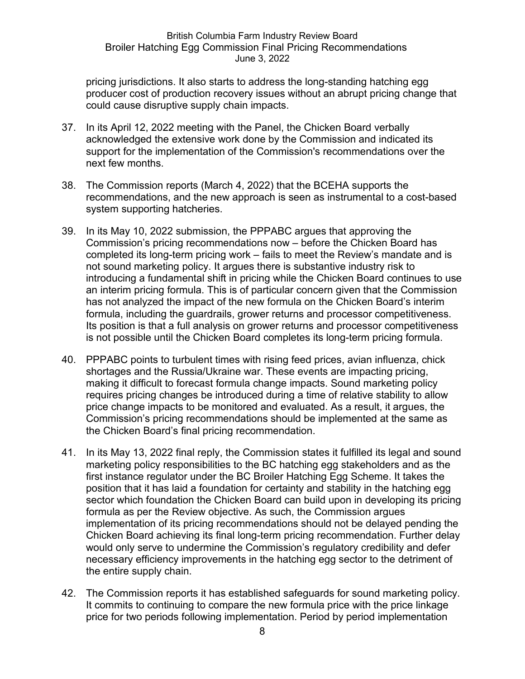pricing jurisdictions. It also starts to address the long-standing hatching egg producer cost of production recovery issues without an abrupt pricing change that could cause disruptive supply chain impacts.

- 37. In its April 12, 2022 meeting with the Panel, the Chicken Board verbally acknowledged the extensive work done by the Commission and indicated its support for the implementation of the Commission's recommendations over the next few months.
- 38. The Commission reports (March 4, 2022) that the BCEHA supports the recommendations, and the new approach is seen as instrumental to a cost-based system supporting hatcheries.
- 39. In its May 10, 2022 submission, the PPPABC argues that approving the Commission's pricing recommendations now – before the Chicken Board has completed its long-term pricing work – fails to meet the Review's mandate and is not sound marketing policy. It argues there is substantive industry risk to introducing a fundamental shift in pricing while the Chicken Board continues to use an interim pricing formula. This is of particular concern given that the Commission has not analyzed the impact of the new formula on the Chicken Board's interim formula, including the guardrails, grower returns and processor competitiveness. Its position is that a full analysis on grower returns and processor competitiveness is not possible until the Chicken Board completes its long-term pricing formula.
- 40. PPPABC points to turbulent times with rising feed prices, avian influenza, chick shortages and the Russia/Ukraine war. These events are impacting pricing, making it difficult to forecast formula change impacts. Sound marketing policy requires pricing changes be introduced during a time of relative stability to allow price change impacts to be monitored and evaluated. As a result, it argues, the Commission's pricing recommendations should be implemented at the same as the Chicken Board's final pricing recommendation.
- 41. In its May 13, 2022 final reply, the Commission states it fulfilled its legal and sound marketing policy responsibilities to the BC hatching egg stakeholders and as the first instance regulator under the BC Broiler Hatching Egg Scheme. It takes the position that it has laid a foundation for certainty and stability in the hatching egg sector which foundation the Chicken Board can build upon in developing its pricing formula as per the Review objective. As such, the Commission argues implementation of its pricing recommendations should not be delayed pending the Chicken Board achieving its final long-term pricing recommendation. Further delay would only serve to undermine the Commission's regulatory credibility and defer necessary efficiency improvements in the hatching egg sector to the detriment of the entire supply chain.
- 42. The Commission reports it has established safeguards for sound marketing policy. It commits to continuing to compare the new formula price with the price linkage price for two periods following implementation. Period by period implementation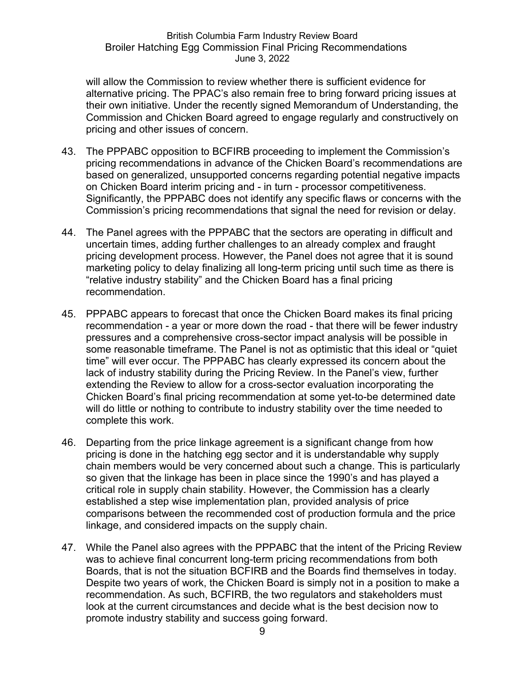will allow the Commission to review whether there is sufficient evidence for alternative pricing. The PPAC's also remain free to bring forward pricing issues at their own initiative. Under the recently signed Memorandum of Understanding, the Commission and Chicken Board agreed to engage regularly and constructively on pricing and other issues of concern.

- 43. The PPPABC opposition to BCFIRB proceeding to implement the Commission's pricing recommendations in advance of the Chicken Board's recommendations are based on generalized, unsupported concerns regarding potential negative impacts on Chicken Board interim pricing and - in turn - processor competitiveness. Significantly, the PPPABC does not identify any specific flaws or concerns with the Commission's pricing recommendations that signal the need for revision or delay.
- 44. The Panel agrees with the PPPABC that the sectors are operating in difficult and uncertain times, adding further challenges to an already complex and fraught pricing development process. However, the Panel does not agree that it is sound marketing policy to delay finalizing all long-term pricing until such time as there is "relative industry stability" and the Chicken Board has a final pricing recommendation.
- 45. PPPABC appears to forecast that once the Chicken Board makes its final pricing recommendation - a year or more down the road - that there will be fewer industry pressures and a comprehensive cross-sector impact analysis will be possible in some reasonable timeframe. The Panel is not as optimistic that this ideal or "quiet time" will ever occur. The PPPABC has clearly expressed its concern about the lack of industry stability during the Pricing Review. In the Panel's view, further extending the Review to allow for a cross-sector evaluation incorporating the Chicken Board's final pricing recommendation at some yet-to-be determined date will do little or nothing to contribute to industry stability over the time needed to complete this work.
- 46. Departing from the price linkage agreement is a significant change from how pricing is done in the hatching egg sector and it is understandable why supply chain members would be very concerned about such a change. This is particularly so given that the linkage has been in place since the 1990's and has played a critical role in supply chain stability. However, the Commission has a clearly established a step wise implementation plan, provided analysis of price comparisons between the recommended cost of production formula and the price linkage, and considered impacts on the supply chain.
- 47. While the Panel also agrees with the PPPABC that the intent of the Pricing Review was to achieve final concurrent long-term pricing recommendations from both Boards, that is not the situation BCFIRB and the Boards find themselves in today. Despite two years of work, the Chicken Board is simply not in a position to make a recommendation. As such, BCFIRB, the two regulators and stakeholders must look at the current circumstances and decide what is the best decision now to promote industry stability and success going forward.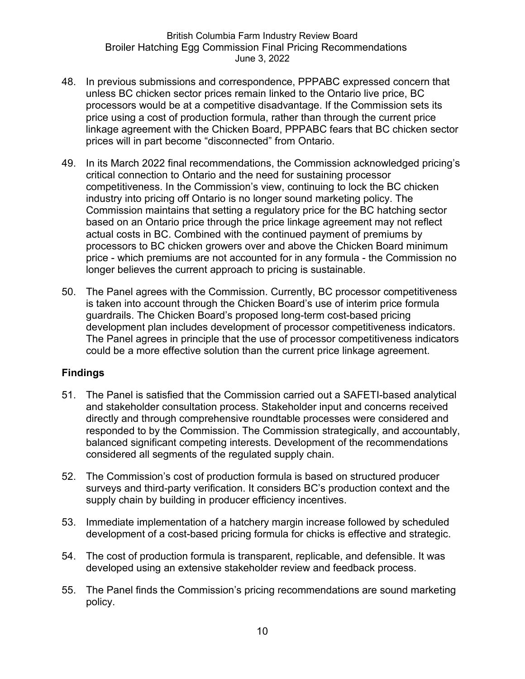- 48. In previous submissions and correspondence, PPPABC expressed concern that unless BC chicken sector prices remain linked to the Ontario live price, BC processors would be at a competitive disadvantage. If the Commission sets its price using a cost of production formula, rather than through the current price linkage agreement with the Chicken Board, PPPABC fears that BC chicken sector prices will in part become "disconnected" from Ontario.
- 49. In its March 2022 final recommendations, the Commission acknowledged pricing's critical connection to Ontario and the need for sustaining processor competitiveness. In the Commission's view, continuing to lock the BC chicken industry into pricing off Ontario is no longer sound marketing policy. The Commission maintains that setting a regulatory price for the BC hatching sector based on an Ontario price through the price linkage agreement may not reflect actual costs in BC. Combined with the continued payment of premiums by processors to BC chicken growers over and above the Chicken Board minimum price - which premiums are not accounted for in any formula - the Commission no longer believes the current approach to pricing is sustainable.
- 50. The Panel agrees with the Commission. Currently, BC processor competitiveness is taken into account through the Chicken Board's use of interim price formula guardrails. The Chicken Board's proposed long-term cost-based pricing development plan includes development of processor competitiveness indicators. The Panel agrees in principle that the use of processor competitiveness indicators could be a more effective solution than the current price linkage agreement.

### **Findings**

- 51. The Panel is satisfied that the Commission carried out a SAFETI-based analytical and stakeholder consultation process. Stakeholder input and concerns received directly and through comprehensive roundtable processes were considered and responded to by the Commission. The Commission strategically, and accountably, balanced significant competing interests. Development of the recommendations considered all segments of the regulated supply chain.
- 52. The Commission's cost of production formula is based on structured producer surveys and third-party verification. It considers BC's production context and the supply chain by building in producer efficiency incentives.
- 53. Immediate implementation of a hatchery margin increase followed by scheduled development of a cost-based pricing formula for chicks is effective and strategic.
- 54. The cost of production formula is transparent, replicable, and defensible. It was developed using an extensive stakeholder review and feedback process.
- 55. The Panel finds the Commission's pricing recommendations are sound marketing policy.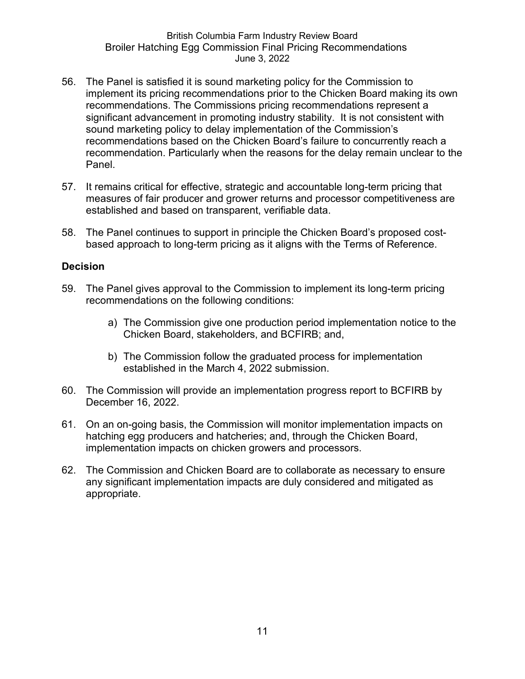- 56. The Panel is satisfied it is sound marketing policy for the Commission to implement its pricing recommendations prior to the Chicken Board making its own recommendations. The Commissions pricing recommendations represent a significant advancement in promoting industry stability. It is not consistent with sound marketing policy to delay implementation of the Commission's recommendations based on the Chicken Board's failure to concurrently reach a recommendation. Particularly when the reasons for the delay remain unclear to the Panel.
- 57. It remains critical for effective, strategic and accountable long-term pricing that measures of fair producer and grower returns and processor competitiveness are established and based on transparent, verifiable data.
- 58. The Panel continues to support in principle the Chicken Board's proposed costbased approach to long-term pricing as it aligns with the Terms of Reference.

#### **Decision**

- 59. The Panel gives approval to the Commission to implement its long-term pricing recommendations on the following conditions:
	- a) The Commission give one production period implementation notice to the Chicken Board, stakeholders, and BCFIRB; and,
	- b) The Commission follow the graduated process for implementation established in the March 4, 2022 submission.
- 60. The Commission will provide an implementation progress report to BCFIRB by December 16, 2022.
- 61. On an on-going basis, the Commission will monitor implementation impacts on hatching egg producers and hatcheries; and, through the Chicken Board, implementation impacts on chicken growers and processors.
- 62. The Commission and Chicken Board are to collaborate as necessary to ensure any significant implementation impacts are duly considered and mitigated as appropriate.